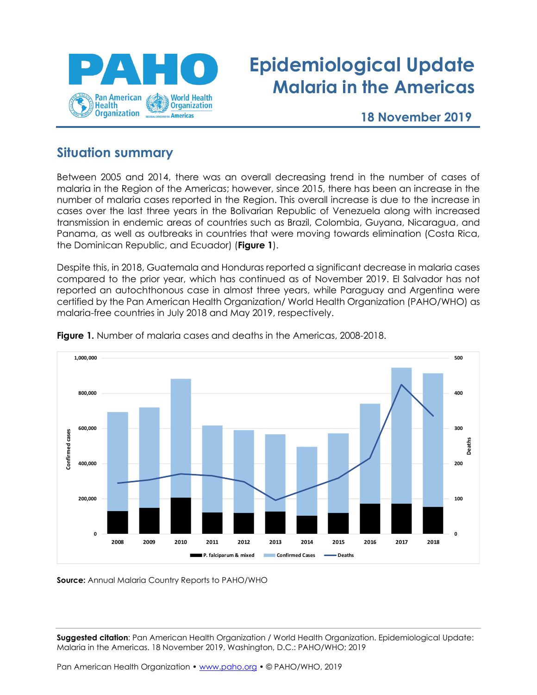

## **Epidemiological Update Malaria in the Americas**

**18 November 2019**

## **Situation summary**

Between 2005 and 2014, there was an overall decreasing trend in the number of cases of malaria in the Region of the Americas; however, since 2015, there has been an increase in the number of malaria cases reported in the Region. This overall increase is due to the increase in cases over the last three years in the Bolivarian Republic of Venezuela along with increased transmission in endemic areas of countries such as Brazil, Colombia, Guyana, Nicaragua, and Panama, as well as outbreaks in countries that were moving towards elimination (Costa Rica, the Dominican Republic, and Ecuador) (**Figure 1**).

Despite this, in 2018, Guatemala and Honduras reported a significant decrease in malaria cases compared to the prior year, which has continued as of November 2019. El Salvador has not reported an autochthonous case in almost three years, while Paraguay and Argentina were certified by the Pan American Health Organization/ World Health Organization (PAHO/WHO) as malaria-free countries in July 2018 and May 2019, respectively.



**Figure 1.** Number of malaria cases and deaths in the Americas, 2008-2018.

**Source:** Annual Malaria Country Reports to PAHO/WHO

**Suggested citation**: Pan American Health Organization / World Health Organization. Epidemiological Update: Malaria in the Americas. 18 November 2019, Washington, D.C.: PAHO/WHO; 2019

Pan American Health Organization • [www.paho.org](http://www.paho.org/) • © PAHO/WHO, 2019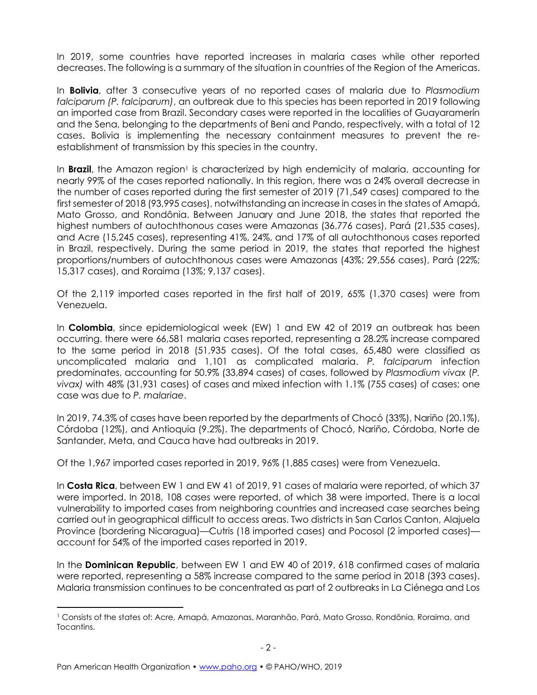In 2019, some countries have reported increases in malaria cases while other reported decreases. The following is a summary of the situation in countries of the Region of the Americas.

In **Bolivia**, after 3 consecutive years of no reported cases of malaria due to *Plasmodium falciparum (P. falciparum)*, an outbreak due to this species has been reported in 2019 following an imported case from Brazil. Secondary cases were reported in the localities of Guayaramerín and the Sena, belonging to the departments of Beni and Pando, respectively, with a total of 12 cases. Bolivia is implementing the necessary containment measures to prevent the reestablishment of transmission by this species in the country.

In **Brazil**, the Amazon region<sup>1</sup> is characterized by high endemicity of malaria, accounting for nearly 99% of the cases reported nationally. In this region, there was a 24% overall decrease in the number of cases reported during the first semester of 2019 (71,549 cases) compared to the first semester of 2018 (93,995 cases), notwithstanding an increase in cases in the states of Amapá, Mato Grosso, and Rondônia. Between January and June 2018, the states that reported the highest numbers of autochthonous cases were Amazonas (36,776 cases), Pará (21,535 cases), and Acre (15,245 cases), representing 41%, 24%, and 17% of all autochthonous cases reported in Brazil, respectively. During the same period in 2019, the states that reported the highest proportions/numbers of autochthonous cases were Amazonas (43%; 29,556 cases), Pará (22%; 15,317 cases), and Roraima (13%; 9,137 cases).

Of the 2,119 imported cases reported in the first half of 2019, 65% (1,370 cases) were from Venezuela.

In **Colombia**, since epidemiological week (EW) 1 and EW 42 of 2019 an outbreak has been occurring. there were 66,581 malaria cases reported, representing a 28.2% increase compared to the same period in 2018 (51,935 cases). Of the total cases, 65,480 were classified as uncomplicated malaria and 1,101 as complicated malaria. *P. falciparum* infection predominates, accounting for 50.9% (33,894 cases) of cases, followed by *Plasmodium vivax* (*P. vivax)* with 48% (31,931 cases) of cases and mixed infection with 1.1% (755 cases) of cases; one case was due to *P. malariae*.

In 2019, 74.3% of cases have been reported by the departments of Chocó (33%), Nariño (20.1%), Córdoba (12%), and Antioquia (9.2%). The departments of Chocó, Nariño, Córdoba, Norte de Santander, Meta, and Cauca have had outbreaks in 2019.

Of the 1,967 imported cases reported in 2019, 96% (1,885 cases) were from Venezuela.

In **Costa Rica**, between EW 1 and EW 41 of 2019, 91 cases of malaria were reported, of which 37 were imported. In 2018, 108 cases were reported, of which 38 were imported. There is a local vulnerability to imported cases from neighboring countries and increased case searches being carried out in geographical difficult to access areas. Two districts in San Carlos Canton, Alajuela Province (bordering Nicaragua)—Cutris (18 imported cases) and Pocosol (2 imported cases) account for 54% of the imported cases reported in 2019.

In the **Dominican Republic**, between EW 1 and EW 40 of 2019, 618 confirmed cases of malaria were reported, representing a 58% increase compared to the same period in 2018 (393 cases). Malaria transmission continues to be concentrated as part of 2 outbreaks in La Ciénega and Los

<sup>1</sup> Consists of the states of: Acre, Amapá, Amazonas, Maranhão, Pará, Mato Grosso, Rondônia, Roraima, and Tocantins.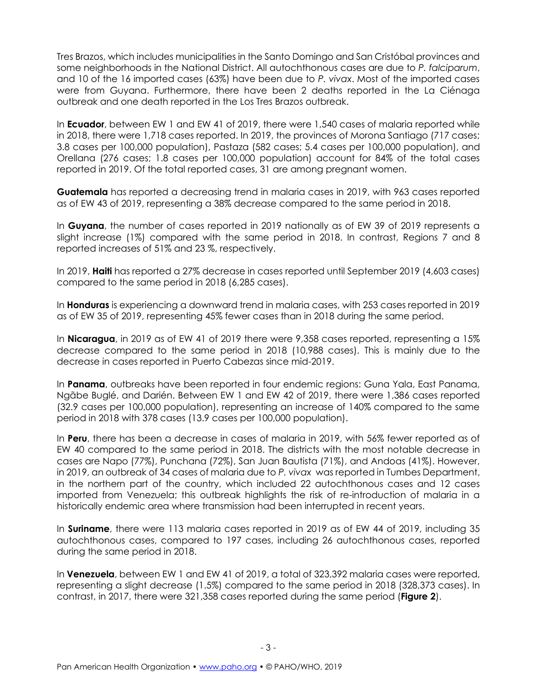Tres Brazos, which includes municipalities in the Santo Domingo and San Cristóbal provinces and some neighborhoods in the National District. All autochthonous cases are due to *P. falciparum*, and 10 of the 16 imported cases (63%) have been due to *P. vivax*. Most of the imported cases were from Guyana. Furthermore, there have been 2 deaths reported in the La Ciénaga outbreak and one death reported in the Los Tres Brazos outbreak.

In **Ecuador**, between EW 1 and EW 41 of 2019, there were 1,540 cases of malaria reported while in 2018, there were 1,718 cases reported. In 2019, the provinces of Morona Santiago (717 cases; 3.8 cases per 100,000 population), Pastaza (582 cases; 5.4 cases per 100,000 population), and Orellana (276 cases; 1.8 cases per 100,000 population) account for 84% of the total cases reported in 2019. Of the total reported cases, 31 are among pregnant women.

**Guatemala** has reported a decreasing trend in malaria cases in 2019, with 963 cases reported as of EW 43 of 2019, representing a 38% decrease compared to the same period in 2018.

In **Guyana**, the number of cases reported in 2019 nationally as of EW 39 of 2019 represents a slight increase (1%) compared with the same period in 2018. In contrast, Regions 7 and 8 reported increases of 51% and 23 %, respectively.

In 2019, **Haiti** has reported a 27% decrease in cases reported until September 2019 (4,603 cases) compared to the same period in 2018 (6,285 cases).

In **Honduras** is experiencing a downward trend in malaria cases, with 253 cases reported in 2019 as of EW 35 of 2019, representing 45% fewer cases than in 2018 during the same period.

In **Nicaragua**, in 2019 as of EW 41 of 2019 there were 9,358 cases reported, representing a 15% decrease compared to the same period in 2018 (10,988 cases). This is mainly due to the decrease in cases reported in Puerto Cabezas since mid-2019.

In **Panama**, outbreaks have been reported in four endemic regions: Guna Yala, East Panama, Ngãbe Buglé, and Darién. Between EW 1 and EW 42 of 2019, there were 1,386 cases reported (32.9 cases per 100,000 population), representing an increase of 140% compared to the same period in 2018 with 378 cases (13.9 cases per 100,000 population).

In **Peru**, there has been a decrease in cases of malaria in 2019, with 56% fewer reported as of EW 40 compared to the same period in 2018. The districts with the most notable decrease in cases are Napo (77%), Punchana (72%), San Juan Bautista (71%), and Andoas (41%). However, in 2019, an outbreak of 34 cases of malaria due to *P. vivax* was reported in Tumbes Department, in the northern part of the country, which included 22 autochthonous cases and 12 cases imported from Venezuela; this outbreak highlights the risk of re-introduction of malaria in a historically endemic area where transmission had been interrupted in recent years.

In **Suriname**, there were 113 malaria cases reported in 2019 as of EW 44 of 2019, including 35 autochthonous cases, compared to 197 cases, including 26 autochthonous cases, reported during the same period in 2018.

In **Venezuela**, between EW 1 and EW 41 of 2019, a total of 323,392 malaria cases were reported, representing a slight decrease (1.5%) compared to the same period in 2018 (328,373 cases). In contrast, in 2017, there were 321,358 cases reported during the same period (**Figure 2**).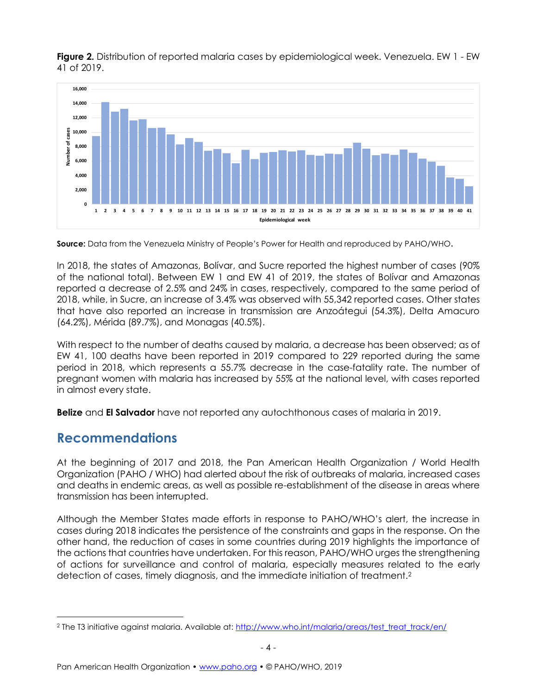**Figure 2.** Distribution of reported malaria cases by epidemiological week. Venezuela. EW 1 - EW 41 of 2019.



**Source:** Data from the Venezuela Ministry of People's Power for Health and reproduced by PAHO/WHO**.**

In 2018, the states of Amazonas, Bolívar, and Sucre reported the highest number of cases (90% of the national total). Between EW 1 and EW 41 of 2019, the states of Bolívar and Amazonas reported a decrease of 2.5% and 24% in cases, respectively, compared to the same period of 2018, while, in Sucre, an increase of 3.4% was observed with 55,342 reported cases. Other states that have also reported an increase in transmission are Anzoátegui (54.3%), Delta Amacuro (64.2%), Mérida (89.7%), and Monagas (40.5%).

With respect to the number of deaths caused by malaria, a decrease has been observed; as of EW 41, 100 deaths have been reported in 2019 compared to 229 reported during the same period in 2018, which represents a 55.7% decrease in the case-fatality rate. The number of pregnant women with malaria has increased by 55% at the national level, with cases reported in almost every state.

**Belize** and **El Salvador** have not reported any autochthonous cases of malaria in 2019.

## **Recommendations**

At the beginning of 2017 and 2018, the Pan American Health Organization / World Health Organization (PAHO / WHO) had alerted about the risk of outbreaks of malaria, increased cases and deaths in endemic areas, as well as possible re-establishment of the disease in areas where transmission has been interrupted.

Although the Member States made efforts in response to PAHO/WHO's alert, the increase in cases during 2018 indicates the persistence of the constraints and gaps in the response. On the other hand, the reduction of cases in some countries during 2019 highlights the importance of the actions that countries have undertaken. For this reason, PAHO/WHO urges the strengthening of actions for surveillance and control of malaria, especially measures related to the early detection of cases, timely diagnosis, and the immediate initiation of treatment.<sup>2</sup>

<sup>&</sup>lt;sup>2</sup> The T3 initiative against malaria. Available at[: http://www.who.int/malaria/areas/test\\_treat\\_track/en/](http://www.who.int/malaria/areas/test_treat_track/en/)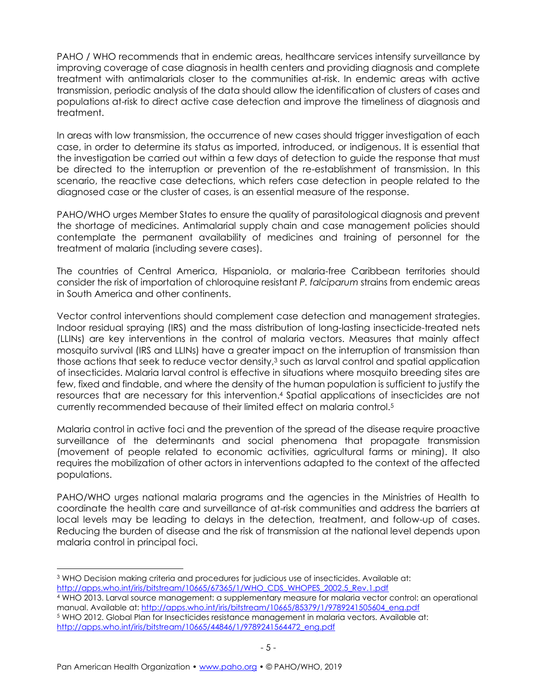PAHO / WHO recommends that in endemic areas, healthcare services intensify surveillance by improving coverage of case diagnosis in health centers and providing diagnosis and complete treatment with antimalarials closer to the communities at-risk. In endemic areas with active transmission, periodic analysis of the data should allow the identification of clusters of cases and populations at-risk to direct active case detection and improve the timeliness of diagnosis and treatment.

In areas with low transmission, the occurrence of new cases should trigger investigation of each case, in order to determine its status as imported, introduced, or indigenous. It is essential that the investigation be carried out within a few days of detection to guide the response that must be directed to the interruption or prevention of the re-establishment of transmission. In this scenario, the reactive case detections, which refers case detection in people related to the diagnosed case or the cluster of cases, is an essential measure of the response.

PAHO/WHO urges Member States to ensure the quality of parasitological diagnosis and prevent the shortage of medicines. Antimalarial supply chain and case management policies should contemplate the permanent availability of medicines and training of personnel for the treatment of malaria (including severe cases).

The countries of Central America, Hispaniola, or malaria-free Caribbean territories should consider the risk of importation of chloroquine resistant *P. falciparum* strains from endemic areas in South America and other continents.

Vector control interventions should complement case detection and management strategies. Indoor residual spraying (IRS) and the mass distribution of long-lasting insecticide-treated nets (LLINs) are key interventions in the control of malaria vectors. Measures that mainly affect mosquito survival (IRS and LLINs) have a greater impact on the interruption of transmission than those actions that seek to reduce vector density,<sup>3</sup> such as larval control and spatial application of insecticides. Malaria larval control is effective in situations where mosquito breeding sites are few, fixed and findable, and where the density of the human population is sufficient to justify the resources that are necessary for this intervention. <sup>4</sup> Spatial applications of insecticides are not currently recommended because of their limited effect on malaria control.<sup>5</sup>

Malaria control in active foci and the prevention of the spread of the disease require proactive surveillance of the determinants and social phenomena that propagate transmission (movement of people related to economic activities, agricultural farms or mining). It also requires the mobilization of other actors in interventions adapted to the context of the affected populations.

PAHO/WHO urges national malaria programs and the agencies in the Ministries of Health to coordinate the health care and surveillance of at-risk communities and address the barriers at local levels may be leading to delays in the detection, treatment, and follow-up of cases. Reducing the burden of disease and the risk of transmission at the national level depends upon malaria control in principal foci.

<sup>5</sup> WHO 2012. Global Plan for Insecticides resistance management in malaria vectors. Available at: [http://apps.who.int/iris/bitstream/10665/44846/1/9789241564472\\_eng.pdf](http://apps.who.int/iris/bitstream/10665/44846/1/9789241564472_eng.pdf)

<sup>&</sup>lt;sup>3</sup> WHO Decision making criteria and procedures for judicious use of insecticides. Available at: [http://apps.who.int/iris/bitstream/10665/67365/1/WHO\\_CDS\\_WHOPES\\_2002.5\\_Rev.1.pdf](http://apps.who.int/iris/bitstream/10665/67365/1/WHO_CDS_WHOPES_2002.5_Rev.1.pdf)

<sup>4</sup> WHO 2013. Larval source management: a supplementary measure for malaria vector control: an operational manual. Available at: [http://apps.who.int/iris/bitstream/10665/85379/1/9789241505604\\_eng.pdf](http://apps.who.int/iris/bitstream/10665/85379/1/9789241505604_eng.pdf)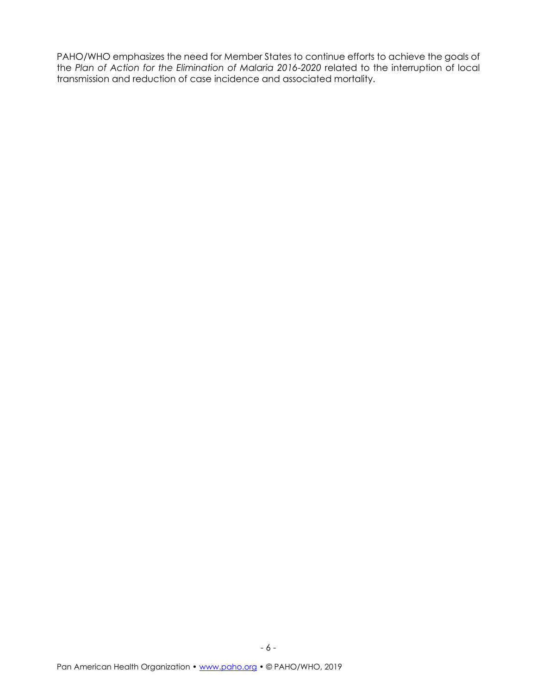PAHO/WHO emphasizes the need for Member States to continue efforts to achieve the goals of the *Plan of Action for the Elimination of Malaria 2016-2020* related to the interruption of local transmission and reduction of case incidence and associated mortality.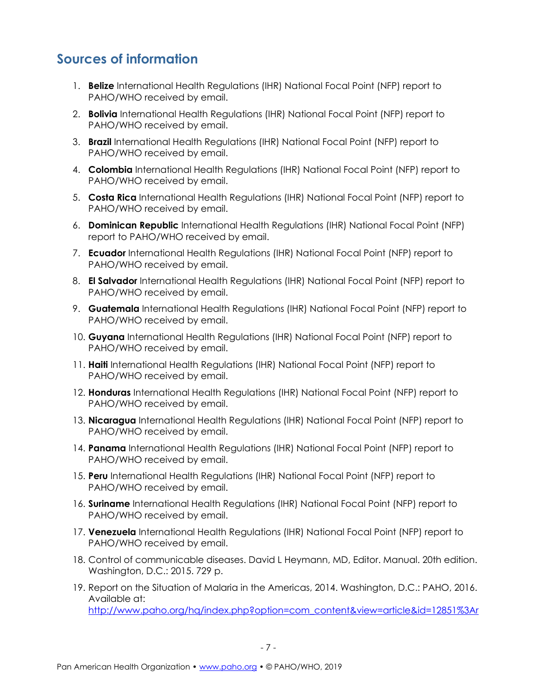## **Sources of information**

- 1. **Belize** International Health Regulations (IHR) National Focal Point (NFP) report to PAHO/WHO received by email.
- 2. **Bolivia** International Health Regulations (IHR) National Focal Point (NFP) report to PAHO/WHO received by email.
- 3. **Brazil** International Health Regulations (IHR) National Focal Point (NFP) report to PAHO/WHO received by email.
- 4. **Colombia** International Health Regulations (IHR) National Focal Point (NFP) report to PAHO/WHO received by email.
- 5. **Costa Rica** International Health Regulations (IHR) National Focal Point (NFP) report to PAHO/WHO received by email.
- 6. **Dominican Republic** International Health Regulations (IHR) National Focal Point (NFP) report to PAHO/WHO received by email.
- 7. **Ecuador** International Health Regulations (IHR) National Focal Point (NFP) report to PAHO/WHO received by email.
- 8. **El Salvador** International Health Regulations (IHR) National Focal Point (NFP) report to PAHO/WHO received by email.
- 9. **Guatemala** International Health Regulations (IHR) National Focal Point (NFP) report to PAHO/WHO received by email.
- 10. **Guyana** International Health Regulations (IHR) National Focal Point (NFP) report to PAHO/WHO received by email.
- 11. **Haiti** International Health Regulations (IHR) National Focal Point (NFP) report to PAHO/WHO received by email.
- 12. **Honduras** International Health Regulations (IHR) National Focal Point (NFP) report to PAHO/WHO received by email.
- 13. **Nicaragua** International Health Regulations (IHR) National Focal Point (NFP) report to PAHO/WHO received by email.
- 14. **Panama** International Health Regulations (IHR) National Focal Point (NFP) report to PAHO/WHO received by email.
- 15. **Peru** International Health Regulations (IHR) National Focal Point (NFP) report to PAHO/WHO received by email.
- 16. **Suriname** International Health Regulations (IHR) National Focal Point (NFP) report to PAHO/WHO received by email.
- 17. **Venezuela** International Health Regulations (IHR) National Focal Point (NFP) report to PAHO/WHO received by email.
- 18. Control of communicable diseases. David L Heymann, MD, Editor. Manual. 20th edition. Washington, D.C.: 2015. 729 p.
- 19. Report on the Situation of Malaria in the Americas, 2014. Washington, D.C.: PAHO, 2016. Available at: [http://www.paho.org/hq/index.php?option=com\\_content&view=article&id=12851%3Ar](http://www.paho.org/hq/index.php?option=com_content&view=article&id=12851%3Areport-on-the-situation-of-malaria-in-the-americas-2014&catid=1617%3Amalaria-statistics-maps&Itemid=42230&lang=en)

- 7 -